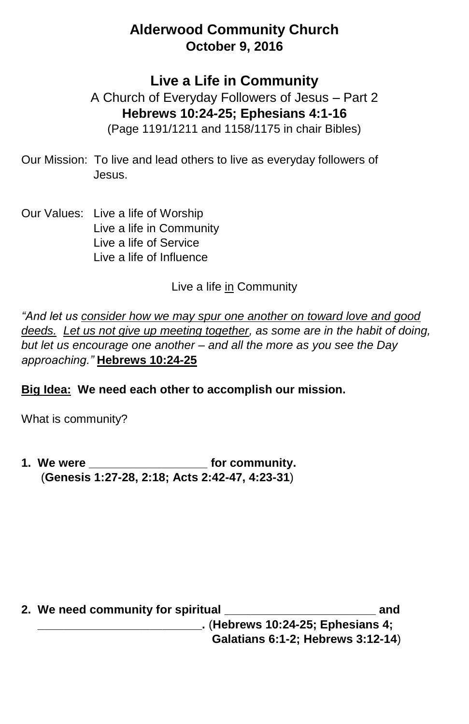## **Alderwood Community Church October 9, 2016**

**Live a Life in Community**

A Church of Everyday Followers of Jesus – Part 2 **Hebrews 10:24-25; Ephesians 4:1-16** (Page 1191/1211 and 1158/1175 in chair Bibles)

- Our Mission: To live and lead others to live as everyday followers of Jesus.
- Our Values: Live a life of Worship Live a life in Community Live a life of Service Live a life of Influence

Live a life in Community

*"And let us consider how we may spur one another on toward love and good deeds. Let us not give up meeting together, as some are in the habit of doing, but let us encourage one another – and all the more as you see the Day approaching."* **Hebrews 10:24-25**

**Big Idea: We need each other to accomplish our mission.**

What is community?

**1. We were \_\_\_\_\_\_\_\_\_\_\_\_\_\_\_\_\_\_ for community.**  (**Genesis 1:27-28, 2:18; Acts 2:42-47, 4:23-31**)

| 2. We need community for spiritual | and |
|------------------------------------|-----|
| . (Hebrews 10:24-25; Ephesians 4;  |     |
| Galatians 6:1-2; Hebrews 3:12-14)  |     |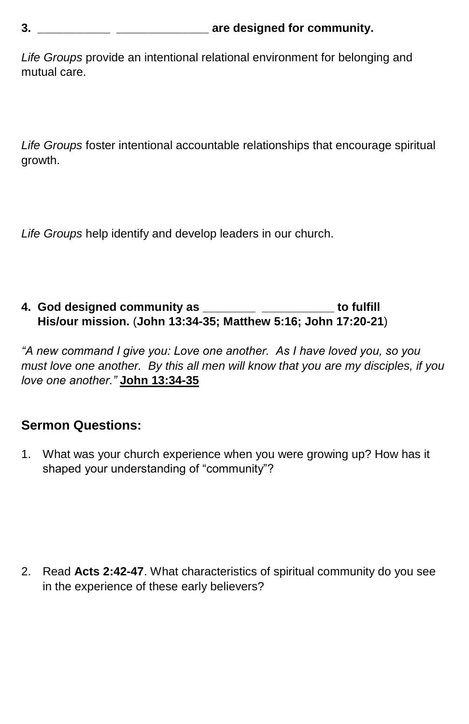*Life Groups* provide an intentional relational environment for belonging and mutual care.

*Life Groups* foster intentional accountable relationships that encourage spiritual growth.

*Life Groups* help identify and develop leaders in our church.

## **4. God designed community as \_\_\_\_\_\_\_\_ \_\_\_\_\_\_\_\_\_\_\_ to fulfill His/our mission.** (**John 13:34-35; Matthew 5:16; John 17:20-21**)

*"A new command I give you: Love one another. As I have loved you, so you must love one another. By this all men will know that you are my disciples, if you love one another."* **John 13:34-35**

## **Sermon Questions:**

1. What was your church experience when you were growing up? How has it shaped your understanding of "community"?

2. Read **Acts 2:42-47**. What characteristics of spiritual community do you see in the experience of these early believers?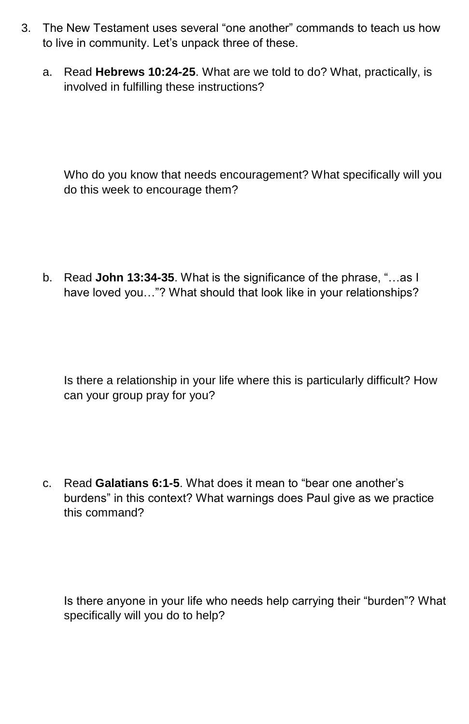- 3. The New Testament uses several "one another" commands to teach us how to live in community. Let's unpack three of these.
	- a. Read **Hebrews 10:24-25**. What are we told to do? What, practically, is involved in fulfilling these instructions?

Who do you know that needs encouragement? What specifically will you do this week to encourage them?

b. Read **John 13:34-35**. What is the significance of the phrase, "…as I have loved you..."? What should that look like in your relationships?

Is there a relationship in your life where this is particularly difficult? How can your group pray for you?

c. Read **Galatians 6:1-5**. What does it mean to "bear one another's burdens" in this context? What warnings does Paul give as we practice this command?

Is there anyone in your life who needs help carrying their "burden"? What specifically will you do to help?